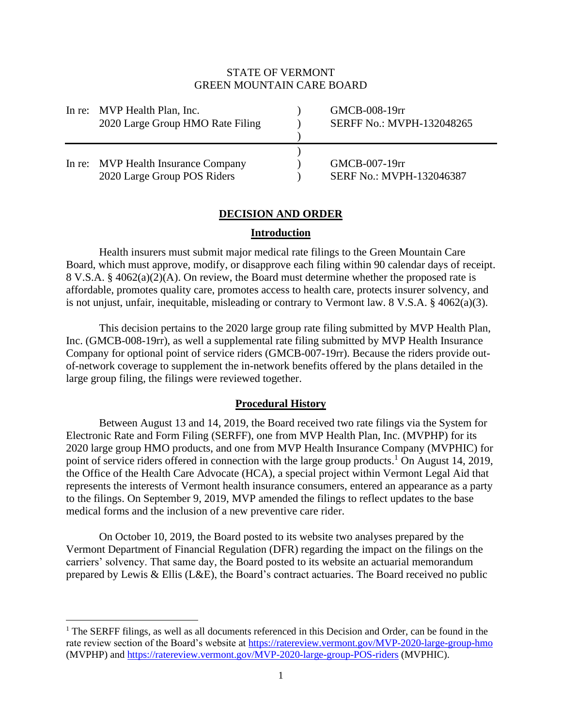# STATE OF VERMONT GREEN MOUNTAIN CARE BOARD

| In re: MVP Health Plan, Inc.<br>2020 Large Group HMO Rate Filing   | GMCB-008-19rr<br>SERFF No.: MVPH-132048265 |
|--------------------------------------------------------------------|--------------------------------------------|
| In re: MVP Health Insurance Company<br>2020 Large Group POS Riders | GMCB-007-19rr<br>SERF No.: MVPH-132046387  |

# **DECISION AND ORDER**

## **Introduction**

Health insurers must submit major medical rate filings to the Green Mountain Care Board, which must approve, modify, or disapprove each filing within 90 calendar days of receipt. 8 V.S.A. § 4062(a)(2)(A). On review, the Board must determine whether the proposed rate is affordable, promotes quality care, promotes access to health care, protects insurer solvency, and is not unjust, unfair, inequitable, misleading or contrary to Vermont law. 8 V.S.A. § 4062(a)(3).

This decision pertains to the 2020 large group rate filing submitted by MVP Health Plan, Inc. (GMCB-008-19rr), as well a supplemental rate filing submitted by MVP Health Insurance Company for optional point of service riders (GMCB-007-19rr). Because the riders provide outof-network coverage to supplement the in-network benefits offered by the plans detailed in the large group filing, the filings were reviewed together.

### **Procedural History**

Between August 13 and 14, 2019, the Board received two rate filings via the System for Electronic Rate and Form Filing (SERFF), one from MVP Health Plan, Inc. (MVPHP) for its 2020 large group HMO products, and one from MVP Health Insurance Company (MVPHIC) for point of service riders offered in connection with the large group products.<sup>1</sup> On August 14, 2019, the Office of the Health Care Advocate (HCA), a special project within Vermont Legal Aid that represents the interests of Vermont health insurance consumers, entered an appearance as a party to the filings. On September 9, 2019, MVP amended the filings to reflect updates to the base medical forms and the inclusion of a new preventive care rider.

On October 10, 2019, the Board posted to its website two analyses prepared by the Vermont Department of Financial Regulation (DFR) regarding the impact on the filings on the carriers' solvency. That same day, the Board posted to its website an actuarial memorandum prepared by Lewis & Ellis (L&E), the Board's contract actuaries. The Board received no public

<sup>&</sup>lt;sup>1</sup> The SERFF filings, as well as all documents referenced in this Decision and Order, can be found in the rate review section of the Board's website at<https://ratereview.vermont.gov/MVP-2020-large-group-hmo> (MVPHP) and<https://ratereview.vermont.gov/MVP-2020-large-group-POS-riders> (MVPHIC).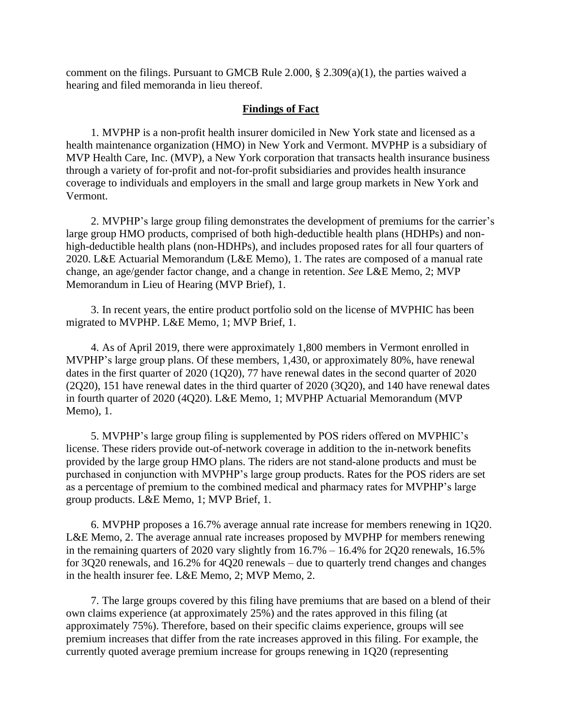comment on the filings. Pursuant to GMCB Rule 2.000, § 2.309(a)(1), the parties waived a hearing and filed memoranda in lieu thereof.

### **Findings of Fact**

1. MVPHP is a non-profit health insurer domiciled in New York state and licensed as a health maintenance organization (HMO) in New York and Vermont. MVPHP is a subsidiary of MVP Health Care, Inc. (MVP), a New York corporation that transacts health insurance business through a variety of for-profit and not-for-profit subsidiaries and provides health insurance coverage to individuals and employers in the small and large group markets in New York and Vermont.

2. MVPHP's large group filing demonstrates the development of premiums for the carrier's large group HMO products, comprised of both high-deductible health plans (HDHPs) and nonhigh-deductible health plans (non-HDHPs), and includes proposed rates for all four quarters of 2020. L&E Actuarial Memorandum (L&E Memo), 1. The rates are composed of a manual rate change, an age/gender factor change, and a change in retention. *See* L&E Memo, 2; MVP Memorandum in Lieu of Hearing (MVP Brief), 1.

3. In recent years, the entire product portfolio sold on the license of MVPHIC has been migrated to MVPHP. L&E Memo, 1; MVP Brief, 1.

4. As of April 2019, there were approximately 1,800 members in Vermont enrolled in MVPHP's large group plans. Of these members, 1,430, or approximately 80%, have renewal dates in the first quarter of 2020 (1Q20), 77 have renewal dates in the second quarter of 2020 (2Q20), 151 have renewal dates in the third quarter of 2020 (3Q20), and 140 have renewal dates in fourth quarter of 2020 (4Q20). L&E Memo, 1; MVPHP Actuarial Memorandum (MVP Memo), 1.

5. MVPHP's large group filing is supplemented by POS riders offered on MVPHIC's license. These riders provide out-of-network coverage in addition to the in-network benefits provided by the large group HMO plans. The riders are not stand-alone products and must be purchased in conjunction with MVPHP's large group products. Rates for the POS riders are set as a percentage of premium to the combined medical and pharmacy rates for MVPHP's large group products. L&E Memo, 1; MVP Brief, 1.

6. MVPHP proposes a 16.7% average annual rate increase for members renewing in 1Q20. L&E Memo, 2. The average annual rate increases proposed by MVPHP for members renewing in the remaining quarters of 2020 vary slightly from 16.7% – 16.4% for 2Q20 renewals, 16.5% for 3Q20 renewals, and 16.2% for 4Q20 renewals – due to quarterly trend changes and changes in the health insurer fee. L&E Memo, 2; MVP Memo, 2.

7. The large groups covered by this filing have premiums that are based on a blend of their own claims experience (at approximately 25%) and the rates approved in this filing (at approximately 75%). Therefore, based on their specific claims experience, groups will see premium increases that differ from the rate increases approved in this filing. For example, the currently quoted average premium increase for groups renewing in 1Q20 (representing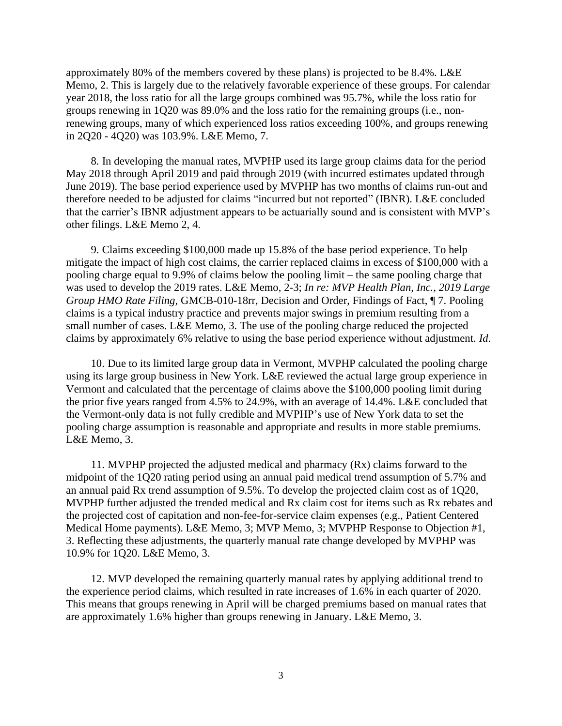approximately 80% of the members covered by these plans) is projected to be 8.4%. L&E Memo, 2. This is largely due to the relatively favorable experience of these groups. For calendar year 2018, the loss ratio for all the large groups combined was 95.7%, while the loss ratio for groups renewing in 1Q20 was 89.0% and the loss ratio for the remaining groups (i.e., nonrenewing groups, many of which experienced loss ratios exceeding 100%, and groups renewing in 2Q20 - 4Q20) was 103.9%. L&E Memo, 7.

8. In developing the manual rates, MVPHP used its large group claims data for the period May 2018 through April 2019 and paid through 2019 (with incurred estimates updated through June 2019). The base period experience used by MVPHP has two months of claims run-out and therefore needed to be adjusted for claims "incurred but not reported" (IBNR). L&E concluded that the carrier's IBNR adjustment appears to be actuarially sound and is consistent with MVP's other filings. L&E Memo 2, 4.

9. Claims exceeding \$100,000 made up 15.8% of the base period experience. To help mitigate the impact of high cost claims, the carrier replaced claims in excess of \$100,000 with a pooling charge equal to 9.9% of claims below the pooling limit – the same pooling charge that was used to develop the 2019 rates. L&E Memo, 2-3; *In re: MVP Health Plan, Inc.*, *2019 Large Group HMO Rate Filing,* GMCB-010-18rr, Decision and Order, Findings of Fact, ¶ 7. Pooling claims is a typical industry practice and prevents major swings in premium resulting from a small number of cases. L&E Memo, 3. The use of the pooling charge reduced the projected claims by approximately 6% relative to using the base period experience without adjustment. *Id*.

10. Due to its limited large group data in Vermont, MVPHP calculated the pooling charge using its large group business in New York. L&E reviewed the actual large group experience in Vermont and calculated that the percentage of claims above the \$100,000 pooling limit during the prior five years ranged from 4.5% to 24.9%, with an average of 14.4%. L&E concluded that the Vermont-only data is not fully credible and MVPHP's use of New York data to set the pooling charge assumption is reasonable and appropriate and results in more stable premiums. L&E Memo, 3.

11. MVPHP projected the adjusted medical and pharmacy (Rx) claims forward to the midpoint of the 1Q20 rating period using an annual paid medical trend assumption of 5.7% and an annual paid Rx trend assumption of 9.5%. To develop the projected claim cost as of 1Q20, MVPHP further adjusted the trended medical and Rx claim cost for items such as Rx rebates and the projected cost of capitation and non-fee-for-service claim expenses (e.g., Patient Centered Medical Home payments). L&E Memo, 3; MVP Memo, 3; MVPHP Response to Objection #1, 3. Reflecting these adjustments, the quarterly manual rate change developed by MVPHP was 10.9% for 1Q20. L&E Memo, 3.

12. MVP developed the remaining quarterly manual rates by applying additional trend to the experience period claims, which resulted in rate increases of 1.6% in each quarter of 2020. This means that groups renewing in April will be charged premiums based on manual rates that are approximately 1.6% higher than groups renewing in January. L&E Memo, 3.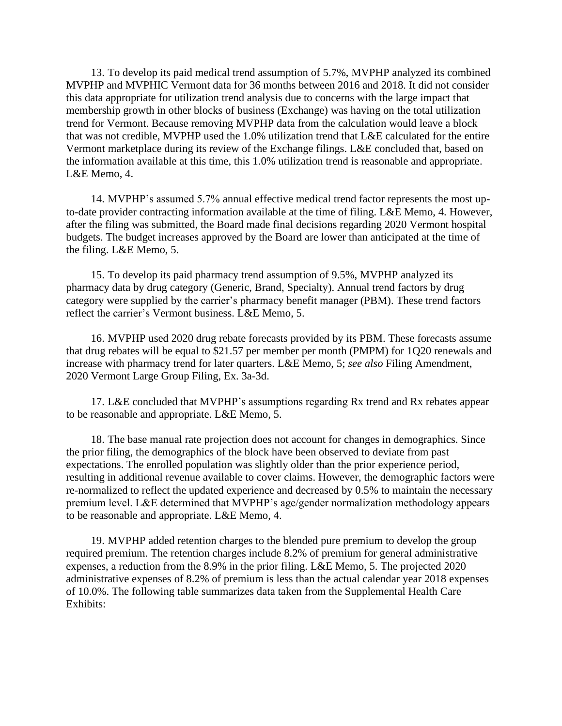13. To develop its paid medical trend assumption of 5.7%, MVPHP analyzed its combined MVPHP and MVPHIC Vermont data for 36 months between 2016 and 2018. It did not consider this data appropriate for utilization trend analysis due to concerns with the large impact that membership growth in other blocks of business (Exchange) was having on the total utilization trend for Vermont. Because removing MVPHP data from the calculation would leave a block that was not credible, MVPHP used the 1.0% utilization trend that L&E calculated for the entire Vermont marketplace during its review of the Exchange filings. L&E concluded that, based on the information available at this time, this 1.0% utilization trend is reasonable and appropriate. L&E Memo, 4.

14. MVPHP's assumed 5.7% annual effective medical trend factor represents the most upto-date provider contracting information available at the time of filing. L&E Memo, 4. However, after the filing was submitted, the Board made final decisions regarding 2020 Vermont hospital budgets. The budget increases approved by the Board are lower than anticipated at the time of the filing. L&E Memo, 5.

15. To develop its paid pharmacy trend assumption of 9.5%, MVPHP analyzed its pharmacy data by drug category (Generic, Brand, Specialty). Annual trend factors by drug category were supplied by the carrier's pharmacy benefit manager (PBM). These trend factors reflect the carrier's Vermont business. L&E Memo, 5.

16. MVPHP used 2020 drug rebate forecasts provided by its PBM. These forecasts assume that drug rebates will be equal to \$21.57 per member per month (PMPM) for 1Q20 renewals and increase with pharmacy trend for later quarters. L&E Memo, 5; *see also* Filing Amendment, 2020 Vermont Large Group Filing, Ex. 3a-3d.

17. L&E concluded that MVPHP's assumptions regarding Rx trend and Rx rebates appear to be reasonable and appropriate. L&E Memo, 5.

18. The base manual rate projection does not account for changes in demographics. Since the prior filing, the demographics of the block have been observed to deviate from past expectations. The enrolled population was slightly older than the prior experience period, resulting in additional revenue available to cover claims. However, the demographic factors were re-normalized to reflect the updated experience and decreased by 0.5% to maintain the necessary premium level. L&E determined that MVPHP's age/gender normalization methodology appears to be reasonable and appropriate. L&E Memo, 4.

19. MVPHP added retention charges to the blended pure premium to develop the group required premium. The retention charges include 8.2% of premium for general administrative expenses, a reduction from the 8.9% in the prior filing. L&E Memo, 5. The projected 2020 administrative expenses of 8.2% of premium is less than the actual calendar year 2018 expenses of 10.0%. The following table summarizes data taken from the Supplemental Health Care Exhibits: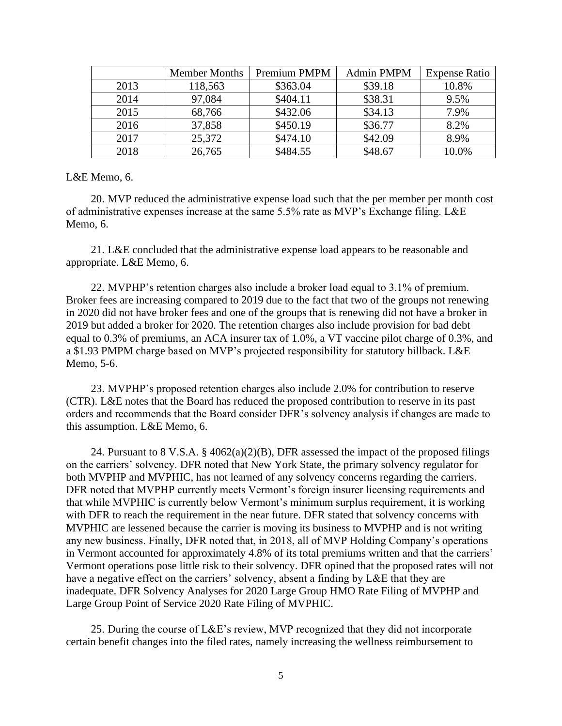|      | <b>Member Months</b> | Premium PMPM | <b>Admin PMPM</b> | <b>Expense Ratio</b> |
|------|----------------------|--------------|-------------------|----------------------|
| 2013 | 118,563              | \$363.04     | \$39.18           | 10.8%                |
| 2014 | 97,084               | \$404.11     | \$38.31           | 9.5%                 |
| 2015 | 68,766               | \$432.06     | \$34.13           | 7.9%                 |
| 2016 | 37,858               | \$450.19     | \$36.77           | 8.2%                 |
| 2017 | 25,372               | \$474.10     | \$42.09           | 8.9%                 |
| 2018 | 26,765               | \$484.55     | \$48.67           | 10.0%                |

L&E Memo, 6.

20. MVP reduced the administrative expense load such that the per member per month cost of administrative expenses increase at the same 5.5% rate as MVP's Exchange filing. L&E Memo, 6.

21. L&E concluded that the administrative expense load appears to be reasonable and appropriate. L&E Memo, 6.

22. MVPHP's retention charges also include a broker load equal to 3.1% of premium. Broker fees are increasing compared to 2019 due to the fact that two of the groups not renewing in 2020 did not have broker fees and one of the groups that is renewing did not have a broker in 2019 but added a broker for 2020. The retention charges also include provision for bad debt equal to 0.3% of premiums, an ACA insurer tax of 1.0%, a VT vaccine pilot charge of 0.3%, and a \$1.93 PMPM charge based on MVP's projected responsibility for statutory billback. L&E Memo, 5-6.

23. MVPHP's proposed retention charges also include 2.0% for contribution to reserve (CTR). L&E notes that the Board has reduced the proposed contribution to reserve in its past orders and recommends that the Board consider DFR's solvency analysis if changes are made to this assumption. L&E Memo, 6.

24. Pursuant to 8 V.S.A. § 4062(a)(2)(B), DFR assessed the impact of the proposed filings on the carriers' solvency. DFR noted that New York State, the primary solvency regulator for both MVPHP and MVPHIC, has not learned of any solvency concerns regarding the carriers. DFR noted that MVPHP currently meets Vermont's foreign insurer licensing requirements and that while MVPHIC is currently below Vermont's minimum surplus requirement, it is working with DFR to reach the requirement in the near future. DFR stated that solvency concerns with MVPHIC are lessened because the carrier is moving its business to MVPHP and is not writing any new business. Finally, DFR noted that, in 2018, all of MVP Holding Company's operations in Vermont accounted for approximately 4.8% of its total premiums written and that the carriers' Vermont operations pose little risk to their solvency. DFR opined that the proposed rates will not have a negative effect on the carriers' solvency, absent a finding by L&E that they are inadequate. DFR Solvency Analyses for 2020 Large Group HMO Rate Filing of MVPHP and Large Group Point of Service 2020 Rate Filing of MVPHIC.

25. During the course of L&E's review, MVP recognized that they did not incorporate certain benefit changes into the filed rates, namely increasing the wellness reimbursement to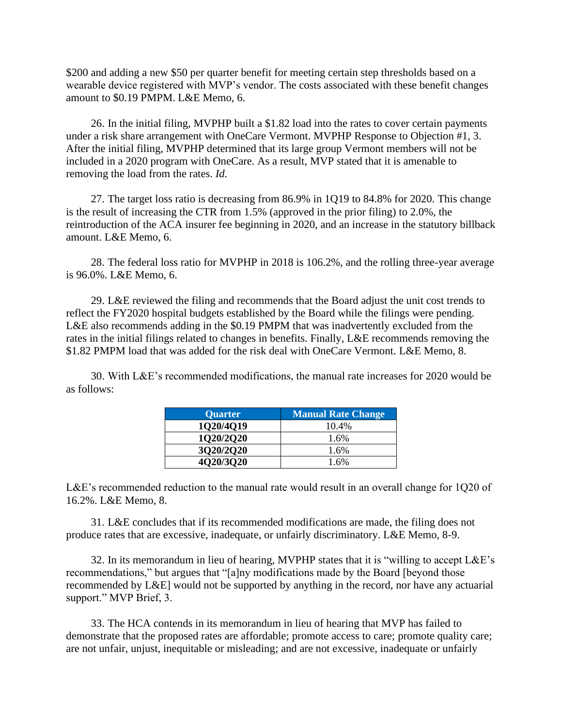\$200 and adding a new \$50 per quarter benefit for meeting certain step thresholds based on a wearable device registered with MVP's vendor. The costs associated with these benefit changes amount to \$0.19 PMPM. L&E Memo, 6.

26. In the initial filing, MVPHP built a \$1.82 load into the rates to cover certain payments under a risk share arrangement with OneCare Vermont. MVPHP Response to Objection #1, 3. After the initial filing, MVPHP determined that its large group Vermont members will not be included in a 2020 program with OneCare. As a result, MVP stated that it is amenable to removing the load from the rates. *Id.*

27. The target loss ratio is decreasing from 86.9% in 1Q19 to 84.8% for 2020. This change is the result of increasing the CTR from 1.5% (approved in the prior filing) to 2.0%, the reintroduction of the ACA insurer fee beginning in 2020, and an increase in the statutory billback amount. L&E Memo, 6.

28. The federal loss ratio for MVPHP in 2018 is 106.2%, and the rolling three-year average is 96.0%. L&E Memo, 6.

29. L&E reviewed the filing and recommends that the Board adjust the unit cost trends to reflect the FY2020 hospital budgets established by the Board while the filings were pending. L&E also recommends adding in the \$0.19 PMPM that was inadvertently excluded from the rates in the initial filings related to changes in benefits. Finally, L&E recommends removing the \$1.82 PMPM load that was added for the risk deal with OneCare Vermont. L&E Memo, 8.

30. With L&E's recommended modifications, the manual rate increases for 2020 would be as follows:

| <b>Quarter</b> | <b>Manual Rate Change</b> |
|----------------|---------------------------|
| 1020/4019      | 10.4%                     |
| 1Q20/2Q20      | 1.6%                      |
| 3Q20/2Q20      | 1.6%                      |
| 4Q20/3Q20      | 1.6%                      |

L&E's recommended reduction to the manual rate would result in an overall change for 1Q20 of 16.2%. L&E Memo, 8.

31. L&E concludes that if its recommended modifications are made, the filing does not produce rates that are excessive, inadequate, or unfairly discriminatory. L&E Memo, 8-9.

32. In its memorandum in lieu of hearing, MVPHP states that it is "willing to accept L&E's recommendations," but argues that "[a]ny modifications made by the Board [beyond those recommended by L&E] would not be supported by anything in the record, nor have any actuarial support." MVP Brief, 3.

33. The HCA contends in its memorandum in lieu of hearing that MVP has failed to demonstrate that the proposed rates are affordable; promote access to care; promote quality care; are not unfair, unjust, inequitable or misleading; and are not excessive, inadequate or unfairly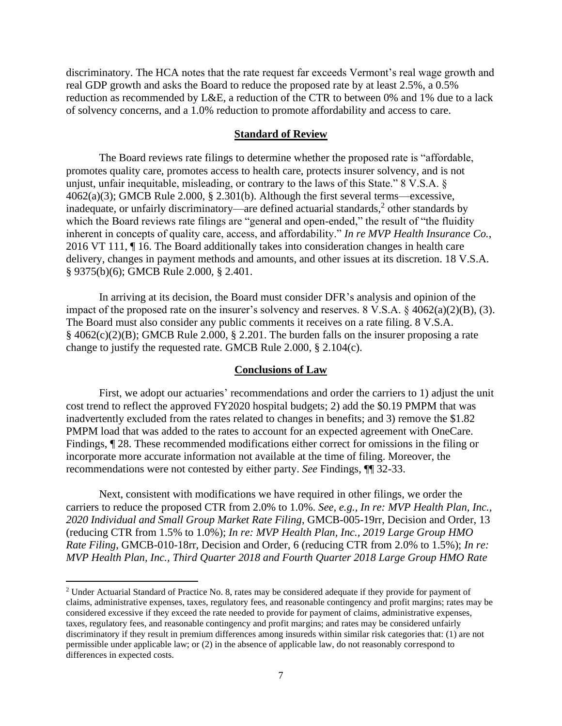discriminatory. The HCA notes that the rate request far exceeds Vermont's real wage growth and real GDP growth and asks the Board to reduce the proposed rate by at least 2.5%, a 0.5% reduction as recommended by L&E, a reduction of the CTR to between 0% and 1% due to a lack of solvency concerns, and a 1.0% reduction to promote affordability and access to care.

#### **Standard of Review**

The Board reviews rate filings to determine whether the proposed rate is "affordable, promotes quality care, promotes access to health care, protects insurer solvency, and is not unjust, unfair inequitable, misleading, or contrary to the laws of this State." 8 V.S.A. § 4062(a)(3); GMCB Rule 2.000, § 2.301(b). Although the first several terms—excessive, inadequate, or unfairly discriminatory—are defined actuarial standards, $<sup>2</sup>$  other standards by</sup> which the Board reviews rate filings are "general and open-ended," the result of "the fluidity inherent in concepts of quality care, access, and affordability." *In re MVP Health Insurance Co.*, 2016 VT 111, ¶ 16. The Board additionally takes into consideration changes in health care delivery, changes in payment methods and amounts, and other issues at its discretion. 18 V.S.A. § 9375(b)(6); GMCB Rule 2.000, § 2.401.

In arriving at its decision, the Board must consider DFR's analysis and opinion of the impact of the proposed rate on the insurer's solvency and reserves. 8 V.S.A. § 4062(a)(2)(B), (3). The Board must also consider any public comments it receives on a rate filing. 8 V.S.A.  $§$  4062(c)(2)(B); GMCB Rule 2.000, § 2.201. The burden falls on the insurer proposing a rate change to justify the requested rate. GMCB Rule 2.000, § 2.104(c).

### **Conclusions of Law**

First, we adopt our actuaries' recommendations and order the carriers to 1) adjust the unit cost trend to reflect the approved FY2020 hospital budgets; 2) add the \$0.19 PMPM that was inadvertently excluded from the rates related to changes in benefits; and 3) remove the \$1.82 PMPM load that was added to the rates to account for an expected agreement with OneCare. Findings, ¶ 28. These recommended modifications either correct for omissions in the filing or incorporate more accurate information not available at the time of filing. Moreover, the recommendations were not contested by either party. *See* Findings, ¶¶ 32-33.

Next, consistent with modifications we have required in other filings, we order the carriers to reduce the proposed CTR from 2.0% to 1.0%. *See, e.g., In re: MVP Health Plan, Inc., 2020 Individual and Small Group Market Rate Filing*, GMCB-005-19rr, Decision and Order, 13 (reducing CTR from 1.5% to 1.0%); *In re: MVP Health Plan, Inc., 2019 Large Group HMO Rate Filing*, GMCB-010-18rr, Decision and Order, 6 (reducing CTR from 2.0% to 1.5%); *In re: MVP Health Plan, Inc., Third Quarter 2018 and Fourth Quarter 2018 Large Group HMO Rate* 

<sup>2</sup> Under Actuarial Standard of Practice No. 8, rates may be considered adequate if they provide for payment of claims, administrative expenses, taxes, regulatory fees, and reasonable contingency and profit margins; rates may be considered excessive if they exceed the rate needed to provide for payment of claims, administrative expenses, taxes, regulatory fees, and reasonable contingency and profit margins; and rates may be considered unfairly discriminatory if they result in premium differences among insureds within similar risk categories that: (1) are not permissible under applicable law; or (2) in the absence of applicable law, do not reasonably correspond to differences in expected costs.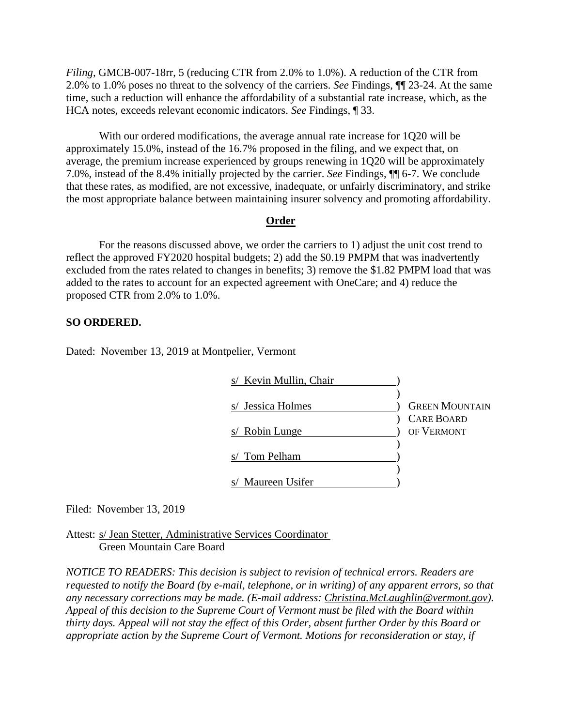*Filing*, GMCB-007-18rr, 5 (reducing CTR from 2.0% to 1.0%). A reduction of the CTR from 2.0% to 1.0% poses no threat to the solvency of the carriers. *See* Findings, ¶¶ 23-24. At the same time, such a reduction will enhance the affordability of a substantial rate increase, which, as the HCA notes, exceeds relevant economic indicators. *See* Findings, ¶ 33.

With our ordered modifications, the average annual rate increase for 1Q20 will be approximately 15.0%, instead of the 16.7% proposed in the filing, and we expect that, on average, the premium increase experienced by groups renewing in 1Q20 will be approximately 7.0%, instead of the 8.4% initially projected by the carrier. *See* Findings, ¶¶ 6-7. We conclude that these rates, as modified, are not excessive, inadequate, or unfairly discriminatory, and strike the most appropriate balance between maintaining insurer solvency and promoting affordability.

### **Order**

For the reasons discussed above, we order the carriers to 1) adjust the unit cost trend to reflect the approved FY2020 hospital budgets; 2) add the \$0.19 PMPM that was inadvertently excluded from the rates related to changes in benefits; 3) remove the \$1.82 PMPM load that was added to the rates to account for an expected agreement with OneCare; and 4) reduce the proposed CTR from 2.0% to 1.0%.

### **SO ORDERED.**

Dated: November 13, 2019 at Montpelier, Vermont

| s/ Kevin Mullin, Chair |                       |
|------------------------|-----------------------|
|                        |                       |
| s/ Jessica Holmes      | <b>GREEN MOUNTAIN</b> |
|                        | <b>CARE BOARD</b>     |
| s/ Robin Lunge         | OF VERMONT            |
|                        |                       |
| Tom Pelham             |                       |
|                        |                       |
| Maureen Usifer         |                       |

Filed: November 13, 2019

Attest: s/ Jean Stetter, Administrative Services Coordinator Green Mountain Care Board

*NOTICE TO READERS: This decision is subject to revision of technical errors. Readers are requested to notify the Board (by e-mail, telephone, or in writing) of any apparent errors, so that any necessary corrections may be made. (E-mail address: Christina.McLaughlin@vermont.gov). Appeal of this decision to the Supreme Court of Vermont must be filed with the Board within thirty days. Appeal will not stay the effect of this Order, absent further Order by this Board or appropriate action by the Supreme Court of Vermont. Motions for reconsideration or stay, if*